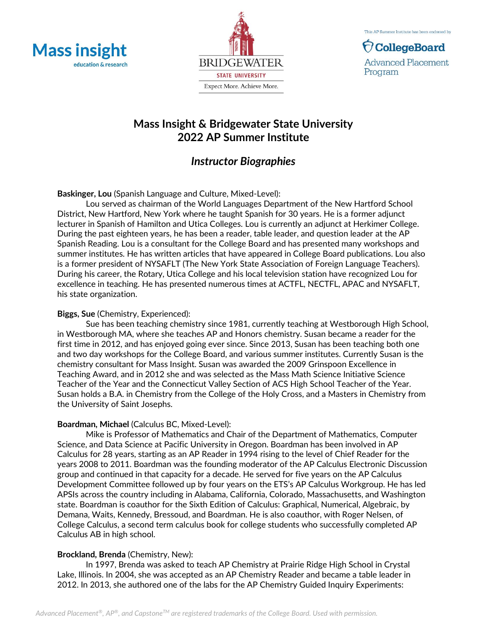





# **Mass Insight & Bridgewater State University 2022 AP Summer Institute**

# *Instructor Biographies*

**Baskinger, Lou** (Spanish Language and Culture, Mixed-Level):

Lou served as chairman of the World Languages Department of the New Hartford School District, New Hartford, New York where he taught Spanish for 30 years. He is a former adjunct lecturer in Spanish of Hamilton and Utica Colleges. Lou is currently an adjunct at Herkimer College. During the past eighteen years, he has been a reader, table leader, and question leader at the AP Spanish Reading. Lou is a consultant for the College Board and has presented many workshops and summer institutes. He has written articles that have appeared in College Board publications. Lou also is a former president of NYSAFLT (The New York State Association of Foreign Language Teachers). During his career, the Rotary, Utica College and his local television station have recognized Lou for excellence in teaching. He has presented numerous times at ACTFL, NECTFL, APAC and NYSAFLT, his state organization.

## **Biggs, Sue** (Chemistry, Experienced):

Sue has been teaching chemistry since 1981, currently teaching at Westborough High School, in Westborough MA, where she teaches AP and Honors chemistry. Susan became a reader for the first time in 2012, and has enjoyed going ever since. Since 2013, Susan has been teaching both one and two day workshops for the College Board, and various summer institutes. Currently Susan is the chemistry consultant for Mass Insight. Susan was awarded the 2009 Grinspoon Excellence in Teaching Award, and in 2012 she and was selected as the Mass Math Science Initiative Science Teacher of the Year and the Connecticut Valley Section of ACS High School Teacher of the Year. Susan holds a B.A. in Chemistry from the College of the Holy Cross, and a Masters in Chemistry from the University of Saint Josephs.

# **Boardman, Michael** (Calculus BC, Mixed-Level):

Mike is Professor of Mathematics and Chair of the Department of Mathematics, Computer Science, and Data Science at Pacific University in Oregon. Boardman has been involved in AP Calculus for 28 years, starting as an AP Reader in 1994 rising to the level of Chief Reader for the years 2008 to 2011. Boardman was the founding moderator of the AP Calculus Electronic Discussion group and continued in that capacity for a decade. He served for five years on the AP Calculus Development Committee followed up by four years on the ETS's AP Calculus Workgroup. He has led APSIs across the country including in Alabama, California, Colorado, Massachusetts, and Washington state. Boardman is coauthor for the Sixth Edition of Calculus: Graphical, Numerical, Algebraic, by Demana, Waits, Kennedy, Bressoud, and Boardman. He is also coauthor, with Roger Nelsen, of College Calculus, a second term calculus book for college students who successfully completed AP Calculus AB in high school.

# **Brockland, Brenda** (Chemistry, New):

In 1997, Brenda was asked to teach AP Chemistry at Prairie Ridge High School in Crystal Lake, Illinois. In 2004, she was accepted as an AP Chemistry Reader and became a table leader in 2012. In 2013, she authored one of the labs for the AP Chemistry Guided Inquiry Experiments: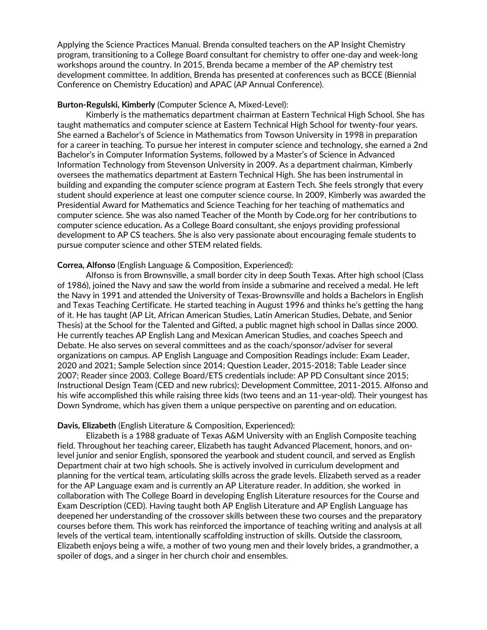Applying the Science Practices Manual. Brenda consulted teachers on the AP Insight Chemistry program, transitioning to a College Board consultant for chemistry to offer one-day and week-long workshops around the country. In 2015, Brenda became a member of the AP chemistry test development committee. In addition, Brenda has presented at conferences such as BCCE (Biennial Conference on Chemistry Education) and APAC (AP Annual Conference).

## **Burton-Regulski, Kimberly** (Computer Science A, Mixed-Level):

Kimberly is the mathematics department chairman at Eastern Technical High School. She has taught mathematics and computer science at Eastern Technical High School for twenty-four years. She earned a Bachelor's of Science in Mathematics from Towson University in 1998 in preparation for a career in teaching. To pursue her interest in computer science and technology, she earned a 2nd Bachelor's in Computer Information Systems, followed by a Master's of Science in Advanced Information Technology from Stevenson University in 2009. As a department chairman, Kimberly oversees the mathematics department at Eastern Technical High. She has been instrumental in building and expanding the computer science program at Eastern Tech. She feels strongly that every student should experience at least one computer science course. In 2009, Kimberly was awarded the Presidential Award for Mathematics and Science Teaching for her teaching of mathematics and computer science. She was also named Teacher of the Month by Code.org for her contributions to computer science education. As a College Board consultant, she enjoys providing professional development to AP CS teachers. She is also very passionate about encouraging female students to pursue computer science and other STEM related fields.

## **Correa, Alfonso** (English Language & Composition, Experienced):

Alfonso is from Brownsville, a small border city in deep South Texas. After high school (Class of 1986), joined the Navy and saw the world from inside a submarine and received a medal. He left the Navy in 1991 and attended the University of Texas-Brownsville and holds a Bachelors in English and Texas Teaching Certificate. He started teaching in August 1996 and thinks he's getting the hang of it. He has taught (AP Lit, African American Studies, Latin American Studies, Debate, and Senior Thesis) at the School for the Talented and Gifted, a public magnet high school in Dallas since 2000. He currently teaches AP English Lang and Mexican American Studies, and coaches Speech and Debate. He also serves on several committees and as the coach/sponsor/adviser for several organizations on campus. AP English Language and Composition Readings include: Exam Leader, 2020 and 2021; Sample Selection since 2014; Question Leader, 2015-2018; Table Leader since 2007; Reader since 2003. College Board/ETS credentials include: AP PD Consultant since 2015; Instructional Design Team (CED and new rubrics); Development Committee, 2011-2015. Alfonso and his wife accomplished this while raising three kids (two teens and an 11-year-old). Their youngest has Down Syndrome, which has given them a unique perspective on parenting and on education.

## **Davis, Elizabeth** (English Literature & Composition, Experienced):

Elizabeth is a 1988 graduate of Texas A&M University with an English Composite teaching field. Throughout her teaching career, Elizabeth has taught Advanced Placement, honors, and onlevel junior and senior English, sponsored the yearbook and student council, and served as English Department chair at two high schools. She is actively involved in curriculum development and planning for the vertical team, articulating skills across the grade levels. Elizabeth served as a reader for the AP Language exam and is currently an AP Literature reader. In addition, she worked in collaboration with The College Board in developing English Literature resources for the Course and Exam Description (CED). Having taught both AP English Literature and AP English Language has deepened her understanding of the crossover skills between these two courses and the preparatory courses before them. This work has reinforced the importance of teaching writing and analysis at all levels of the vertical team, intentionally scaffolding instruction of skills. Outside the classroom, Elizabeth enjoys being a wife, a mother of two young men and their lovely brides, a grandmother, a spoiler of dogs, and a singer in her church choir and ensembles.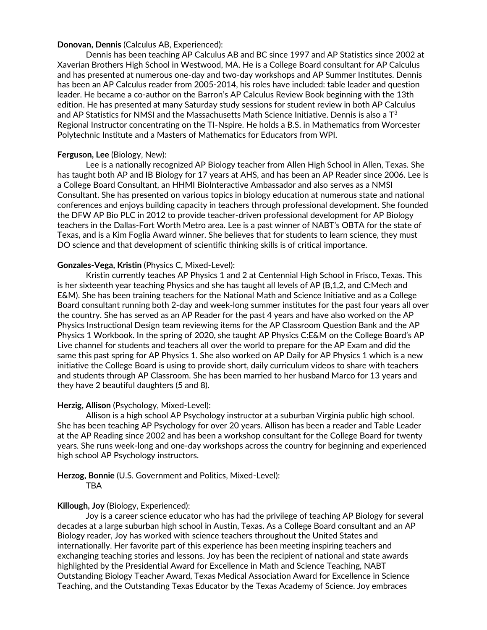## **Donovan, Dennis** (Calculus AB, Experienced):

Dennis has been teaching AP Calculus AB and BC since 1997 and AP Statistics since 2002 at Xaverian Brothers High School in Westwood, MA. He is a College Board consultant for AP Calculus and has presented at numerous one-day and two-day workshops and AP Summer Institutes. Dennis has been an AP Calculus reader from 2005-2014, his roles have included: table leader and question leader. He became a co-author on the Barron's AP Calculus Review Book beginning with the 13th edition. He has presented at many Saturday study sessions for student review in both AP Calculus and AP Statistics for NMSI and the Massachusetts Math Science Initiative. Dennis is also a  $T^3$ Regional Instructor concentrating on the TI-Nspire. He holds a B.S. in Mathematics from Worcester Polytechnic Institute and a Masters of Mathematics for Educators from WPI.

## **Ferguson, Lee** (Biology, New):

Lee is a nationally recognized AP Biology teacher from Allen High School in Allen, Texas. She has taught both AP and IB Biology for 17 years at AHS, and has been an AP Reader since 2006. Lee is a College Board Consultant, an HHMI BioInteractive Ambassador and also serves as a NMSI Consultant. She has presented on various topics in biology education at numerous state and national conferences and enjoys building capacity in teachers through professional development. She founded the DFW AP Bio PLC in 2012 to provide teacher-driven professional development for AP Biology teachers in the Dallas-Fort Worth Metro area. Lee is a past winner of NABT's OBTA for the state of Texas, and is a Kim Foglia Award winner. She believes that for students to learn science, they must DO science and that development of scientific thinking skills is of critical importance.

### **Gonzales-Vega, Kristin** (Physics C, Mixed-Level):

Kristin currently teaches AP Physics 1 and 2 at Centennial High School in Frisco, Texas. This is her sixteenth year teaching Physics and she has taught all levels of AP (B,1,2, and C:Mech and E&M). She has been training teachers for the National Math and Science Initiative and as a College Board consultant running both 2-day and week-long summer institutes for the past four years all over the country. She has served as an AP Reader for the past 4 years and have also worked on the AP Physics Instructional Design team reviewing items for the AP Classroom Question Bank and the AP Physics 1 Workbook. In the spring of 2020, she taught AP Physics C:E&M on the College Board's AP Live channel for students and teachers all over the world to prepare for the AP Exam and did the same this past spring for AP Physics 1. She also worked on AP Daily for AP Physics 1 which is a new initiative the College Board is using to provide short, daily curriculum videos to share with teachers and students through AP Classroom. She has been married to her husband Marco for 13 years and they have 2 beautiful daughters (5 and 8).

#### **Herzig, Allison** (Psychology, Mixed-Level):

Allison is a high school AP Psychology instructor at a suburban Virginia public high school. She has been teaching AP Psychology for over 20 years. Allison has been a reader and Table Leader at the AP Reading since 2002 and has been a workshop consultant for the College Board for twenty years. She runs week-long and one-day workshops across the country for beginning and experienced high school AP Psychology instructors.

**Herzog, Bonnie** (U.S. Government and Politics, Mixed-Level): TBA

#### **Killough, Joy** (Biology, Experienced):

Joy is a career science educator who has had the privilege of teaching AP Biology for several decades at a large suburban high school in Austin, Texas. As a College Board consultant and an AP Biology reader, Joy has worked with science teachers throughout the United States and internationally. Her favorite part of this experience has been meeting inspiring teachers and exchanging teaching stories and lessons. Joy has been the recipient of national and state awards highlighted by the Presidential Award for Excellence in Math and Science Teaching, NABT Outstanding Biology Teacher Award, Texas Medical Association Award for Excellence in Science Teaching, and the Outstanding Texas Educator by the Texas Academy of Science. Joy embraces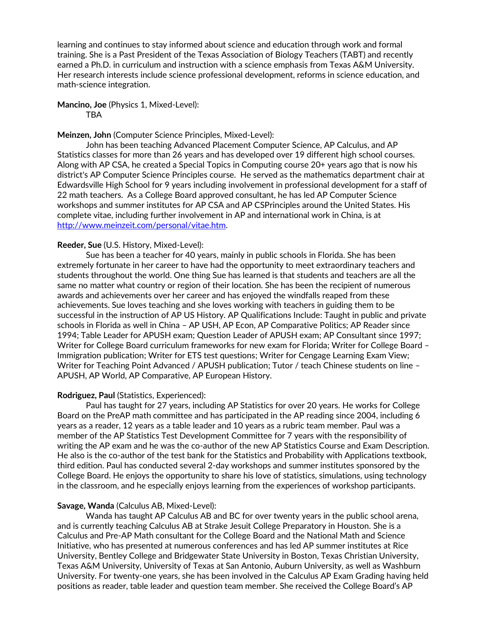learning and continues to stay informed about science and education through work and formal training. She is a Past President of the Texas Association of Biology Teachers (TABT) and recently earned a Ph.D. in curriculum and instruction with a science emphasis from Texas A&M University. Her research interests include science professional development, reforms in science education, and math-science integration.

**Mancino, Joe** (Physics 1, Mixed-Level): TBA

## **Meinzen, John** (Computer Science Principles, Mixed-Level):

John has been teaching Advanced Placement Computer Science, AP Calculus, and AP Statistics classes for more than 26 years and has developed over 19 different high school courses. Along with AP CSA, he created a Special Topics in Computing course 20+ years ago that is now his district's AP Computer Science Principles course. He served as the mathematics department chair at Edwardsville High School for 9 years including involvement in professional development for a staff of 22 math teachers. As a College Board approved consultant, he has led AP Computer Science workshops and summer institutes for AP CSA and AP CSPrinciples around the United States. His complete vitae, including further involvement in AP and international work in China, is at [http://www.meinzeit.com/personal/vitae.htm.](http://www.meinzeit.com/personal/vitae.htm)

## **Reeder, Sue** (U.S. History, Mixed-Level):

Sue has been a teacher for 40 years, mainly in public schools in Florida. She has been extremely fortunate in her career to have had the opportunity to meet extraordinary teachers and students throughout the world. One thing Sue has learned is that students and teachers are all the same no matter what country or region of their location. She has been the recipient of numerous awards and achievements over her career and has enjoyed the windfalls reaped from these achievements. Sue loves teaching and she loves working with teachers in guiding them to be successful in the instruction of AP US History. AP Qualifications Include: Taught in public and private schools in Florida as well in China – AP USH, AP Econ, AP Comparative Politics; AP Reader since 1994; Table Leader for APUSH exam; Question Leader of APUSH exam; AP Consultant since 1997; Writer for College Board curriculum frameworks for new exam for Florida; Writer for College Board -Immigration publication; Writer for ETS test questions; Writer for Cengage Learning Exam View; Writer for Teaching Point Advanced / APUSH publication; Tutor / teach Chinese students on line – APUSH, AP World, AP Comparative, AP European History.

#### **Rodriguez, Paul** (Statistics, Experienced):

Paul has taught for 27 years, including AP Statistics for over 20 years. He works for College Board on the PreAP math committee and has participated in the AP reading since 2004, including 6 years as a reader, 12 years as a table leader and 10 years as a rubric team member. Paul was a member of the AP Statistics Test Development Committee for 7 years with the responsibility of writing the AP exam and he was the co-author of the new AP Statistics Course and Exam Description. He also is the co-author of the test bank for the Statistics and Probability with Applications textbook, third edition. Paul has conducted several 2-day workshops and summer institutes sponsored by the College Board. He enjoys the opportunity to share his love of statistics, simulations, using technology in the classroom, and he especially enjoys learning from the experiences of workshop participants.

#### **Savage, Wanda** (Calculus AB, Mixed-Level):

Wanda has taught AP Calculus AB and BC for over twenty years in the public school arena, and is currently teaching Calculus AB at Strake Jesuit College Preparatory in Houston. She is a Calculus and Pre-AP Math consultant for the College Board and the National Math and Science Initiative, who has presented at numerous conferences and has led AP summer institutes at Rice University, Bentley College and Bridgewater State University in Boston, Texas Christian University, Texas A&M University, University of Texas at San Antonio, Auburn University, as well as Washburn University. For twenty-one years, she has been involved in the Calculus AP Exam Grading having held positions as reader, table leader and question team member. She received the College Board's AP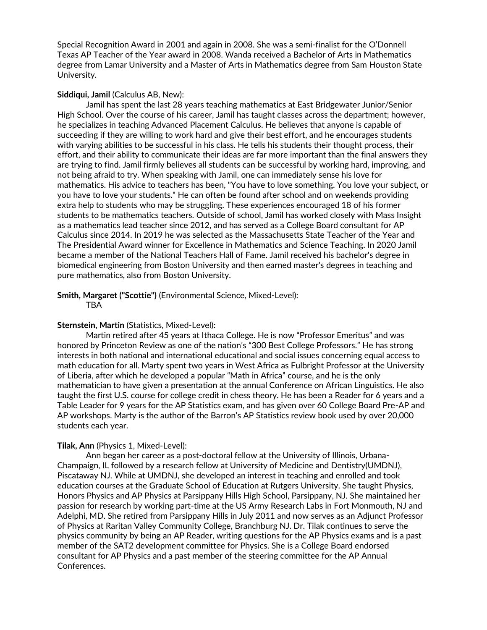Special Recognition Award in 2001 and again in 2008. She was a semi-finalist for the O'Donnell Texas AP Teacher of the Year award in 2008. Wanda received a Bachelor of Arts in Mathematics degree from Lamar University and a Master of Arts in Mathematics degree from Sam Houston State University.

## **Siddiqui, Jamil** (Calculus AB, New):

Jamil has spent the last 28 years teaching mathematics at East Bridgewater Junior/Senior High School. Over the course of his career, Jamil has taught classes across the department; however, he specializes in teaching Advanced Placement Calculus. He believes that anyone is capable of succeeding if they are willing to work hard and give their best effort, and he encourages students with varying abilities to be successful in his class. He tells his students their thought process, their effort, and their ability to communicate their ideas are far more important than the final answers they are trying to find. Jamil firmly believes all students can be successful by working hard, improving, and not being afraid to try. When speaking with Jamil, one can immediately sense his love for mathematics. His advice to teachers has been, "You have to love something. You love your subject, or you have to love your students." He can often be found after school and on weekends providing extra help to students who may be struggling. These experiences encouraged 18 of his former students to be mathematics teachers. Outside of school, Jamil has worked closely with Mass Insight as a mathematics lead teacher since 2012, and has served as a College Board consultant for AP Calculus since 2014. In 2019 he was selected as the Massachusetts State Teacher of the Year and The Presidential Award winner for Excellence in Mathematics and Science Teaching. In 2020 Jamil became a member of the National Teachers Hall of Fame. Jamil received his bachelor's degree in biomedical engineering from Boston University and then earned master's degrees in teaching and pure mathematics, also from Boston University.

## **Smith, Margaret ("Scottie")** (Environmental Science, Mixed-Level): TBA

## **Sternstein, Martin** (Statistics, Mixed-Level):

Martin retired after 45 years at Ithaca College. He is now "Professor Emeritus" and was honored by Princeton Review as one of the nation's "300 Best College Professors." He has strong interests in both national and international educational and social issues concerning equal access to math education for all. Marty spent two years in West Africa as Fulbright Professor at the University of Liberia, after which he developed a popular "Math in Africa" course, and he is the only mathematician to have given a presentation at the annual Conference on African Linguistics. He also taught the first U.S. course for college credit in chess theory. He has been a Reader for 6 years and a Table Leader for 9 years for the AP Statistics exam, and has given over 60 College Board Pre-AP and AP workshops. Marty is the author of the Barron's AP Statistics review book used by over 20,000 students each year.

## **Tilak, Ann** (Physics 1, Mixed-Level):

Ann began her career as a post-doctoral fellow at the University of Illinois, Urbana-Champaign, IL followed by a research fellow at University of Medicine and Dentistry(UMDNJ), Piscataway NJ. While at UMDNJ, she developed an interest in teaching and enrolled and took education courses at the Graduate School of Education at Rutgers University. She taught Physics, Honors Physics and AP Physics at Parsippany Hills High School, Parsippany, NJ. She maintained her passion for research by working part-time at the US Army Research Labs in Fort Monmouth, NJ and Adelphi, MD. She retired from Parsippany Hills in July 2011 and now serves as an Adjunct Professor of Physics at Raritan Valley Community College, Branchburg NJ. Dr. Tilak continues to serve the physics community by being an AP Reader, writing questions for the AP Physics exams and is a past member of the SAT2 development committee for Physics. She is a College Board endorsed consultant for AP Physics and a past member of the steering committee for the AP Annual Conferences.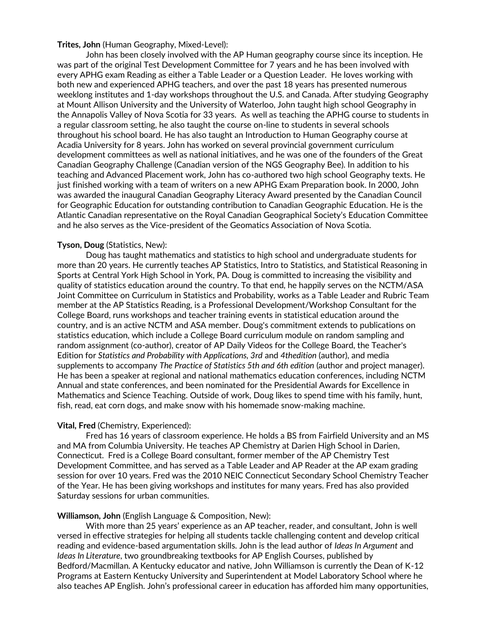**Trites, John** (Human Geography, Mixed-Level):

John has been closely involved with the AP Human geography course since its inception. He was part of the original Test Development Committee for 7 years and he has been involved with every APHG exam Reading as either a Table Leader or a Question Leader. He loves working with both new and experienced APHG teachers, and over the past 18 years has presented numerous weeklong institutes and 1-day workshops throughout the U.S. and Canada. After studying Geography at Mount Allison University and the University of Waterloo, John taught high school Geography in the Annapolis Valley of Nova Scotia for 33 years. As well as teaching the APHG course to students in a regular classroom setting, he also taught the course on-line to students in several schools throughout his school board. He has also taught an Introduction to Human Geography course at Acadia University for 8 years. John has worked on several provincial government curriculum development committees as well as national initiatives, and he was one of the founders of the Great Canadian Geography Challenge (Canadian version of the NGS Geography Bee). In addition to his teaching and Advanced Placement work, John has co-authored two high school Geography texts. He just finished working with a team of writers on a new APHG Exam Preparation book. In 2000, John was awarded the inaugural Canadian Geography Literacy Award presented by the Canadian Council for Geographic Education for outstanding contribution to Canadian Geographic Education. He is the Atlantic Canadian representative on the Royal Canadian Geographical Society's Education Committee and he also serves as the Vice-president of the Geomatics Association of Nova Scotia.

### **Tyson, Doug** (Statistics, New):

Doug has taught mathematics and statistics to high school and undergraduate students for more than 20 years. He currently teaches AP Statistics, Intro to Statistics, and Statistical Reasoning in Sports at Central York High School in York, PA. Doug is committed to increasing the visibility and quality of statistics education around the country. To that end, he happily serves on the NCTM/ASA Joint Committee on Curriculum in Statistics and Probability, works as a Table Leader and Rubric Team member at the AP Statistics Reading, is a Professional Development/Workshop Consultant for the College Board, runs workshops and teacher training events in statistical education around the country, and is an active NCTM and ASA member. Doug's commitment extends to publications on statistics education, which include a College Board curriculum module on random sampling and random assignment (co-author), creator of AP Daily Videos for the College Board, the Teacher's Edition for *Statistics and Probability with Applications, 3rd* and *4thedition* (author), and media supplements to accompany *The Practice of Statistics 5th and 6th edition* (author and project manager). He has been a speaker at regional and national mathematics education conferences, including NCTM Annual and state conferences, and been nominated for the Presidential Awards for Excellence in Mathematics and Science Teaching. Outside of work, Doug likes to spend time with his family, hunt, fish, read, eat corn dogs, and make snow with his homemade snow-making machine.

#### **Vital, Fred** (Chemistry, Experienced):

Fred has 16 years of classroom experience. He holds a BS from Fairfield University and an MS and MA from Columbia University. He teaches AP Chemistry at Darien High School in Darien, Connecticut. Fred is a College Board consultant, former member of the AP Chemistry Test Development Committee, and has served as a Table Leader and AP Reader at the AP exam grading session for over 10 years. Fred was the 2010 NEIC Connecticut Secondary School Chemistry Teacher of the Year. He has been giving workshops and institutes for many years. Fred has also provided Saturday sessions for urban communities.

## **Williamson, John** (English Language & Composition, New):

With more than 25 years' experience as an AP teacher, reader, and consultant, John is well versed in effective strategies for helping all students tackle challenging content and develop critical reading and evidence-based argumentation skills. John is the lead author of *Ideas In Argument* and *Ideas In Literature*, two groundbreaking textbooks for AP English Courses, published by Bedford/Macmillan. A Kentucky educator and native, John Williamson is currently the Dean of K-12 Programs at Eastern Kentucky University and Superintendent at Model Laboratory School where he also teaches AP English. John's professional career in education has afforded him many opportunities,